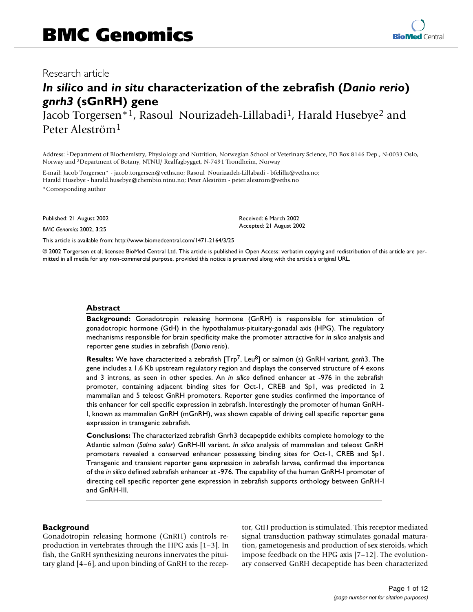# *In silico* **and** *in situ* **characterization of the zebrafish (***Danio rerio***)**  *gnrh3* **(sGnRH) gene**

Jacob Torgersen\*1, Rasoul Nourizadeh-Lillabadi<sup>1</sup>, Harald Husebye<sup>2</sup> and Peter Aleström1

Address: 1Department of Biochemistry, Physiology and Nutrition, Norwegian School of Veterinary Science, PO Box 8146 Dep., N-0033 Oslo, Norway and 2Department of Botany, NTNU/ Realfagbygget, N-7491 Trondheim, Norway

E-mail: Jacob Torgersen\* - jacob.torgersen@veths.no; Rasoul Nourizadeh-Lillabadi - bfelilla@veths.no; Harald Husebye - harald.husebye@chembio.ntnu.no; Peter Aleström - peter.alestrom@veths.no \*Corresponding author

Published: 21 August 2002

*BMC Genomics* 2002, **3**:25

Received: 6 March 2002 Accepted: 21 August 2002

[This article is available from: http://www.biomedcentral.com/1471-2164/3/25](http://www.biomedcentral.com/1471-2164/3/25)

© 2002 Torgersen et al; licensee BioMed Central Ltd. This article is published in Open Access: verbatim copying and redistribution of this article are permitted in all media for any non-commercial purpose, provided this notice is preserved along with the article's original URL.

#### **Abstract**

**Background:** Gonadotropin releasing hormone (GnRH) is responsible for stimulation of gonadotropic hormone (GtH) in the hypothalamus-pituitary-gonadal axis (HPG). The regulatory mechanisms responsible for brain specificity make the promoter attractive for *in silico* analysis and reporter gene studies in zebrafish (*Danio rerio*).

**Results:** We have characterized a zebrafish [Trp7, Leu8] or salmon (s) GnRH variant, *gnrh*3. The gene includes a 1.6 Kb upstream regulatory region and displays the conserved structure of 4 exons and 3 introns, as seen in other species. An *in silico* defined enhancer at -976 in the zebrafish promoter, containing adjacent binding sites for Oct-1, CREB and Sp1, was predicted in 2 mammalian and 5 teleost GnRH promoters. Reporter gene studies confirmed the importance of this enhancer for cell specific expression in zebrafish. Interestingly the promoter of human GnRH-I, known as mammalian GnRH (mGnRH), was shown capable of driving cell specific reporter gene expression in transgenic zebrafish.

**Conclusions:** The characterized zebrafish Gnrh3 decapeptide exhibits complete homology to the Atlantic salmon (*Salmo salar*) GnRH-III variant. *In silico* analysis of mammalian and teleost GnRH promoters revealed a conserved enhancer possessing binding sites for Oct-1, CREB and Sp1. Transgenic and transient reporter gene expression in zebrafish larvae, confirmed the importance of the *in silico* defined zebrafish enhancer at -976. The capability of the human GnRH-I promoter of directing cell specific reporter gene expression in zebrafish supports orthology between GnRH-I and GnRH-III.

### **Background**

Gonadotropin releasing hormone (GnRH) controls reproduction in vertebrates through the HPG axis [1–3]. In fish, the GnRH synthesizing neurons innervates the pituitary gland [4–6], and upon binding of GnRH to the receptor, GtH production is stimulated. This receptor mediated signal transduction pathway stimulates gonadal maturation, gametogenesis and production of sex steroids, which impose feedback on the HPG axis [7–12]. The evolutionary conserved GnRH decapeptide has been characterized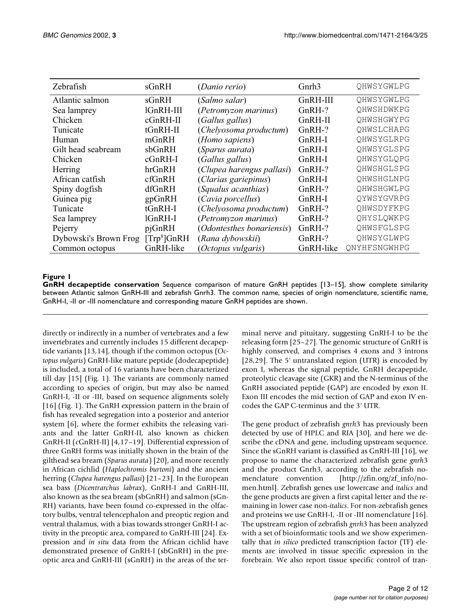| Zebrafish             | sGnRH                   | (Danio rerio)               | Gnrh <sub>3</sub> | QHWSYGWLPG   |  |
|-----------------------|-------------------------|-----------------------------|-------------------|--------------|--|
| Atlantic salmon       | sGnRH                   | (Salmo salar)               | GnRH-III          | QHWSYGWLPG   |  |
| Sea lamprey           | lGnRH-III               | <i>(Petromyzon marinus)</i> | GnRH-?            | QHWSHDWKPG   |  |
| Chicken               | $cGnRH-II$              | <i>(Gallus gallus)</i>      | GnRH-II           | QHWSHGWYPG   |  |
| Tunicate              | tGnRH-II                | (Chelyosoma productum)      | $GnRH-?$          | QHWSLCHAPG   |  |
| Human                 | mGnRH                   | (Homo sapiens)              | $GnRH-I$          | QHWSYGLRPG   |  |
| Gilt head seabream    | sbGnRH                  | (Sparus aurata)             | $GnRH-I$          | QHWSYGLSPG   |  |
| Chicken               | $cGnRH-I$               | <i>(Gallus gallus)</i>      | $GnRH-I$          | OHWSYGLOPG   |  |
| Herring               | hrGnRH                  | (Clupea harengus pallasi)   | GnRH-?            | QHWSHGLSPG   |  |
| African catfish       | cfGnRH                  | (Clarias gariepinus)        | GnRH-I            | QHWSHGLNPG   |  |
| Spiny dogfish         | dfGnRH                  | (Squalus acanthias)         | $GnRH-?$          | OHWSHGWLPG   |  |
| Guinea pig            | gpGnRH                  | (Cavia porcellus)           | $GnRH-I$          | QYWSYGVRPG   |  |
| Tunicate              | tGnRH-I                 | (Chelyosoma productum)      | $GnRH-?$          | QHWSDYFKPG   |  |
| Sea lamprey           | lGnRH-I                 | (Petromyzon marinus)        | $GnRH-?$          | OHYSLOWKPG   |  |
| Pejerry               | pjGnRH                  | (Odontesthes bonariensis)   | GnRH-?            | OHWSFGLSPG   |  |
| Dybowski's Brown Frog | [Trp <sup>8</sup> ]GnRH | (Rana dybowskii)            | $GnRH-?$          | QHWSYGLWPG   |  |
| Common octopus        | GnRH-like               | (Octopus vulgaris)          | GnRH-like         | ONYHFSNGWHPG |  |

**GnRH decapeptide conservation** Sequence comparison of mature GnRH peptides [13–15], show complete similarity between Atlantic salmon GnRH-III and zebrafish Gnrh3. The common name, species of origin nomenclature, scientific name, GnRH-I, -II or -III nomenclature and corresponding mature GnRH peptides are shown.

directly or indirectly in a number of vertebrates and a few invertebrates and currently includes 15 different decapeptide variants [13,14], though if the common octopus (*Octopus vulgaris*) GnRH-like mature peptide (dodecapeptide) is included, a total of 16 variants have been characterized till day [15] (Fig. 1). The variants are commonly named according to species of origin, but may also be named GnRH-I, -II or -III, based on sequence alignments solely [16] (Fig. 1). The GnRH expression pattern in the brain of fish has revealed segregation into a posterior and anterior system [6], where the former exhibits the releasing variants and the latter GnRH-II, also known as chicken GnRH-II (cGnRH-II) [4,17–19]. Differential expression of three GnRH forms was initially shown in the brain of the gilthead sea bream (*Sparus aurata*) [20], and more recently in African cichlid (*Haplochromis burtoni*) and the ancient herring (*Clupea harengus pallasi*) [21–23]. In the European sea bass (*Dicentrarchus labrax*), GnRH-I and GnRH-III, also known as the sea bream (sbGnRH) and salmon (sGn-RH) variants, have been found co-expressed in the olfactory bulbs, ventral telencephalon and preoptic region and ventral thalamus, with a bias towards stronger GnRH-I activity in the preoptic area, compared to GnRH-III [24]. Expression and *in situ* data from the African cichlid have demonstrated presence of GnRH-I (sbGnRH) in the preoptic area and GnRH-III (sGnRH) in the areas of the ter-

minal nerve and pituitary, suggesting GnRH-I to be the releasing form [25–27]. The genomic structure of GnRH is highly conserved, and comprises 4 exons and 3 introns [28,29]. The 5' untranslated region (UTR) is encoded by exon I, whereas the signal peptide, GnRH decapeptide, proteolytic cleavage site (GKR) and the N-terminus of the GnRH associated peptide (GAP) are encoded by exon II. Exon III encodes the mid section of GAP and exon IV encodes the GAP C-terminus and the 3' UTR.

The gene product of zebrafish *gnrh*3 has previously been detected by use of HPLC and RIA [30], and here we describe the cDNA and gene, including upstream sequence. Since the sGnRH variant is classified as GnRH-III [16], we propose to name the characterized zebrafish gene *gnrh*[3](http://zfin.org/zf_info/nomen.html) [and the product Gnrh3, according to the zebrafish no](http://zfin.org/zf_info/nomen.html)menclature convention [http://zfin.org/zf\_info/no[men.html\]. Zebrafish genes use lowercase and](http://zfin.org/zf_info/nomen.html) *italics* and the gene products are given a first capital letter and the remaining in lower case non-*italics*. For non-zebrafish genes and proteins we use GnRH-I, -II or -III nomenclature [16]. The upstream region of zebrafish *gnrh*3 has been analyzed with a set of bioinformatic tools and we show experimentally that *in silico* predicted transcription factor (TF) elements are involved in tissue specific expression in the forebrain. We also report tissue specific control of tran-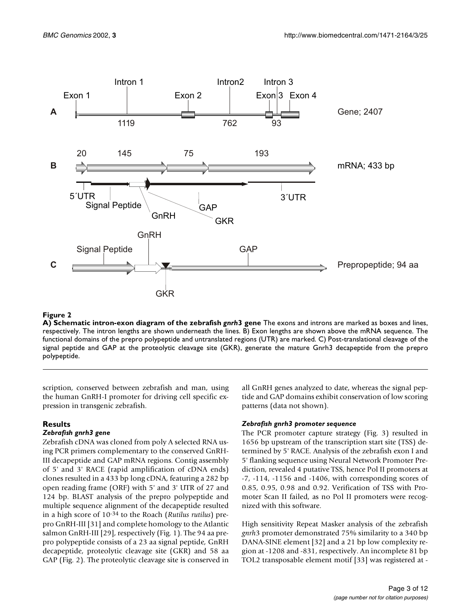

**A) Schematic intron-exon diagram of the zebrafish** *gnrh***3 gene** The exons and introns are marked as boxes and lines, respectively. The intron lengths are shown underneath the lines. B) Exon lengths are shown above the mRNA sequence. The functional domains of the prepro polypeptide and untranslated regions (UTR) are marked. C) Post-translational cleavage of the signal peptide and GAP at the proteolytic cleavage site (GKR), generate the mature Gnrh3 decapeptide from the prepro polypeptide.

scription, conserved between zebrafish and man, using the human GnRH-I promoter for driving cell specific expression in transgenic zebrafish.

### **Results**

### *Zebrafish gnrh3 gene*

Zebrafish cDNA was cloned from poly A selected RNA using PCR primers complementary to the conserved GnRH-III decapeptide and GAP mRNA regions. Contig assembly of 5' and 3' RACE (rapid amplification of cDNA ends) clones resulted in a 433 bp long cDNA, featuring a 282 bp open reading frame (ORF) with 5' and 3' UTR of 27 and 124 bp. BLAST analysis of the prepro polypeptide and multiple sequence alignment of the decapeptide resulted in a high score of 10-34 to the Roach (*Rutilus rutilus*) prepro GnRH-III [31] and complete homology to the Atlantic salmon GnRH-III [29], respectively (Fig. 1). The 94 aa prepro polypeptide consists of a 23 aa signal peptide, GnRH decapeptide, proteolytic cleavage site (GKR) and 58 aa GAP (Fig. 2). The proteolytic cleavage site is conserved in all GnRH genes analyzed to date, whereas the signal peptide and GAP domains exhibit conservation of low scoring patterns (data not shown).

### *Zebrafish gnrh3 promoter sequence*

The PCR promoter capture strategy (Fig. [3](#page-3-0)) resulted in 1656 bp upstream of the transcription start site (TSS) determined by 5' RACE. Analysis of the zebrafish exon I and 5' flanking sequence using Neural Network Promoter Prediction, revealed 4 putative TSS, hence Pol II promoters at -7, -114, -1156 and -1406, with corresponding scores of 0.85, 0.95, 0.98 and 0.92. Verification of TSS with Promoter Scan II failed, as no Pol II promoters were recognized with this software.

High sensitivity Repeat Masker analysis of the zebrafish *gnrh*3 promoter demonstrated 75% similarity to a 340 bp DANA-SINE element [32] and a 21 bp low complexity region at -1208 and -831, respectively. An incomplete 81 bp TOL2 transposable element motif [33] was registered at -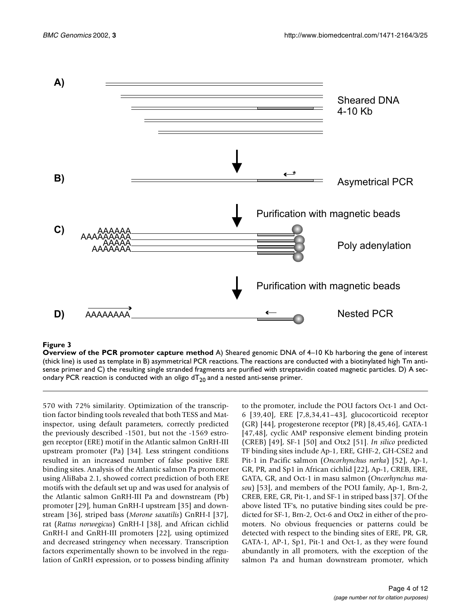

<span id="page-3-0"></span>**Overview of the PCR promoter capture method** A) Sheared genomic DNA of 4–10 Kb harboring the gene of interest (thick line) is used as template in B) asymmetrical PCR reactions. The reactions are conducted with a biotinylated high Tm antisense primer and C) the resulting single stranded fragments are purified with streptavidin coated magnetic particles. D) A secondary PCR reaction is conducted with an oligo  $dT_{20}$  and a nested anti-sense primer.

570 with 72% similarity. Optimization of the transcription factor binding tools revealed that both TESS and Matinspector, using default parameters, correctly predicted the previously described -1501, but not the -1569 estrogen receptor (ERE) motif in the Atlantic salmon GnRH-III upstream promoter (Pa) [34]. Less stringent conditions resulted in an increased number of false positive ERE binding sites. Analysis of the Atlantic salmon Pa promoter using AliBaba 2.1, showed correct prediction of both ERE motifs with the default set up and was used for analysis of the Atlantic salmon GnRH-III Pa and downstream (Pb) promoter [29], human GnRH-I upstream [35] and downstream [36], striped bass (*Morone saxatilis*) GnRH-I [37], rat (*Rattus norwegicus*) GnRH-I [38], and African cichlid GnRH-I and GnRH-III promoters [22], using optimized and decreased stringency when necessary. Transcription factors experimentally shown to be involved in the regulation of GnRH expression, or to possess binding affinity

to the promoter, include the POU factors Oct-1 and Oct-6 [39,40], ERE [7,8,34,41–43], glucocorticoid receptor (GR) [44], progesterone receptor (PR) [8,45,46], GATA-1 [47,48], cyclic AMP responsive element binding protein (CREB) [49], SF-1 [50] and Otx2 [51]. *In silico* predicted TF binding sites include Ap-1, ERE, GHF-2, GH-CSE2 and Pit-1 in Pacific salmon (*Oncorhynchus nerka*) [52], Ap-1, GR, PR, and Sp1 in African cichlid [22], Ap-1, CREB, ERE, GATA, GR, and Oct-1 in masu salmon (*Oncorhynchus masou*) [53], and members of the POU family, Ap-1, Brn-2, CREB, ERE, GR, Pit-1, and SF-1 in striped bass [37]. Of the above listed TF's, no putative binding sites could be predicted for SF-1, Brn-2, Oct-6 and Otx2 in either of the promoters. No obvious frequencies or patterns could be detected with respect to the binding sites of ERE, PR, GR, GATA-1, AP-1, Sp1, Pit-1 and Oct-1, as they were found abundantly in all promoters, with the exception of the salmon Pa and human downstream promoter, which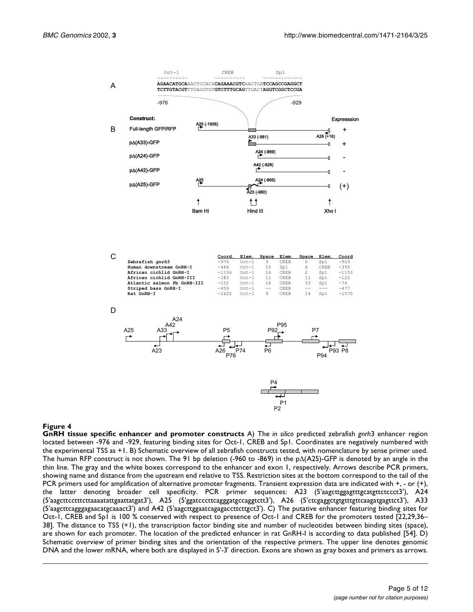

| ັ                           | Coord.  | Elem.     | Space | Elem. | Space | Elem. | Coord   |
|-----------------------------|---------|-----------|-------|-------|-------|-------|---------|
| Zebrafish gnrh3             | $-976$  | $0ct - 1$ | 9     | CREB  | 6     | Sp1   | $-929$  |
| Human downstream GnRH-I     | $-446$  | $Oct-1$   | 10    | Sp1   | 6     | CREB  | $-395$  |
| African cichlid GnRH-I      | $-1106$ | $Oct-1$   | 16    | CREB  |       | Sp1   | $-1153$ |
| African cichlid GnRH-III    | $-183$  | $Oct-1$   | 11    | CREB  | 11    | Sp1   | $-122$  |
| Atlantic salmon Pb GnRH-III | $-152$  | $Oct-1$   | 16    | CREB  | 33    | Sp1   | $-74$   |
| Striped bass GnRH-I         | $-459$  | $Oct-1$   | $- -$ | CREB  |       |       | $-477$  |
| Rat GnRH-I                  | $-1622$ | $Oct - 1$ | 9     | CREB  | 14    | Sp1   | $-1570$ |
|                             |         |           |       |       |       |       |         |





**GnRH tissue specific enhancer and promoter constructs** A) The *in silico* predicted zebrafish *gnrh*3 enhancer region located between -976 and -929, featuring binding sites for Oct-1, CREB and Sp1. Coordinates are negatively numbered with the experimental TSS as +1. B) Schematic overview of all zebrafish constructs tested, with nomenclature by sense primer used. The human RFP construct is not shown. The 91 bp deletion (-960 to -869) in the p∆(A25)-GFP is denoted by an angle in the thin line. The gray and the white boxes correspond to the enhancer and exon 1, respectively. Arrows describe PCR primers, showing name and distance from the upstream end relative to TSS. Restriction sites at the bottom correspond to the tail of the PCR primers used for amplification of alternative promoter fragments. Transient expression data are indicated with +, - or (+), the latter denoting broader cell specificity. PCR primer sequences: A23 (5'aagcttggagtttgcatgttctccct3'), A24 (5'aagcttcctttcttaaaatattgaattatgat3'), A25 (5'ggatcccttcagggatgccaggtctt3'), A26 (5'ctcgaggctgtgtttgttcaagatgagttct3'), A33 (5'aagcttcagggagaacatgcaaact3') and A42 (5'aagcttggaatcagagaccttcttgct3'). C) The putative enhancer featuring binding sites for Oct-1, CREB and Sp1 is 100 % conserved with respect to presence of Oct-1 and CREB for the promoters tested [22,29,36– 38]. The distance to TSS (+1), the transcription factor binding site and number of nucleotides between binding sites (space), are shown for each promoter. The location of the predicted enhancer in rat GnRH-I is according to data published [54]. D) Schematic overview of primer binding sites and the orientation of the respective primers. The upper line denotes genomic DNA and the lower mRNA, where both are displayed in 5'-3' direction. Exons are shown as gray boxes and primers as arrows.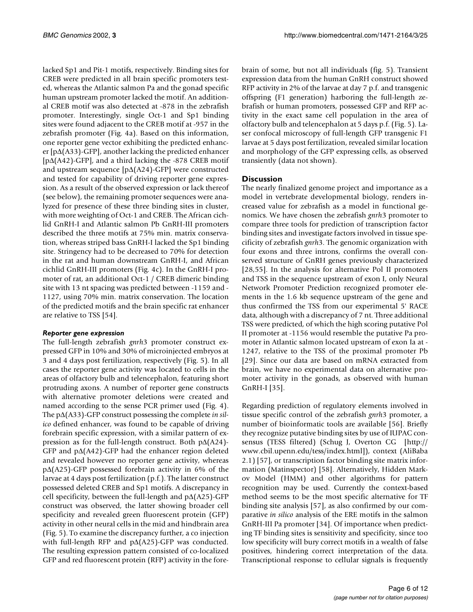lacked Sp1 and Pit-1 motifs, respectively. Binding sites for CREB were predicted in all brain specific promoters tested, whereas the Atlantic salmon Pa and the gonad specific human upstream promoter lacked the motif. An additional CREB motif was also detected at -878 in the zebrafish promoter. Interestingly, single Oct-1 and Sp1 binding sites were found adjacent to the CREB motif at -957 in the zebrafish promoter (Fig. 4a). Based on this information, one reporter gene vector exhibiting the predicted enhancer [p∆(A33)-GFP], another lacking the predicted enhancer [p∆(A42)-GFP], and a third lacking the -878 CREB motif and upstream sequence [p∆(A24)-GFP] were constructed and tested for capability of driving reporter gene expression. As a result of the observed expression or lack thereof (see below), the remaining promoter sequences were analyzed for presence of these three binding sites in cluster, with more weighting of Oct-1 and CREB. The African cichlid GnRH-I and Atlantic salmon Pb GnRH-III promoters described the three motifs at 75% min. matrix conservation, whereas striped bass GnRH-I lacked the Sp1 binding site. Stringency had to be decreased to 70% for detection in the rat and human downstream GnRH-I, and African cichlid GnRH-III promoters (Fig. 4c). In the GnRH-I promoter of rat, an additional Oct-1 / CREB dimeric binding site with 13 nt spacing was predicted between -1159 and - 1127, using 70% min. matrix conservation. The location of the predicted motifs and the brain specific rat enhancer are relative to TSS [54].

### *Reporter gene expression*

The full-length zebrafish *gnrh*3 promoter construct expressed GFP in 10% and 30% of microinjected embryos at 3 and 4 days post fertilization, respectively (Fig. [5\)](#page-6-0). In all cases the reporter gene activity was located to cells in the areas of olfactory bulb and telencephalon, featuring short protruding axons. A number of reporter gene constructs with alternative promoter deletions were created and named according to the sense PCR primer used (Fig. 4). The p∆(A33)-GFP construct possessing the complete *in silico* defined enhancer, was found to be capable of driving forebrain specific expression, with a similar pattern of expression as for the full-length construct. Both p∆(A24)- GFP and p∆(A42)-GFP had the enhancer region deleted and revealed however no reporter gene activity, whereas p∆(A25)-GFP possessed forebrain activity in 6% of the larvae at 4 days post fertilization (p.f.). The latter construct possessed deleted CREB and Sp1 motifs. A discrepancy in cell specificity, between the full-length and p∆(A25)-GFP construct was observed, the latter showing broader cell specificity and revealed green fluorescent protein (GFP) activity in other neural cells in the mid and hindbrain area (Fig. [5](#page-6-0)). To examine the discrepancy further, a co injection with full-length RFP and p∆(A25)-GFP was conducted. The resulting expression pattern consisted of co-localized GFP and red fluorescent protein (RFP) activity in the fore-

brain of some, but not all individuals (fig. [5](#page-6-0)). Transient expression data from the human GnRH construct showed RFP activity in 2% of the larvae at day 7 p.f. and transgenic offspring (F1 generation) harboring the full-length zebrafish or human promoters, possessed GFP and RFP activity in the exact same cell population in the area of olfactory bulb and telencephalon at 5 days p.f. (Fig. [5](#page-6-0)). Laser confocal microscopy of full-length GFP transgenic F1 larvae at 5 days post fertilization, revealed similar location and morphology of the GFP expressing cells, as observed transiently (data not shown).

### **Discussion**

The nearly finalized genome project and importance as a model in vertebrate developmental biology, renders increased value for zebrafish as a model in functional genomics. We have chosen the zebrafish *gnrh*3 promoter to compare three tools for prediction of transcription factor binding sites and investigate factors involved in tissue specificity of zebrafish *gnrh*3. The genomic organization with four exons and three introns, confirms the overall conserved structure of GnRH genes previously characterized [28,55]. In the analysis for alternative Pol II promoters and TSS in the sequence upstream of exon I, only Neural Network Promoter Prediction recognized promoter elements in the 1.6 kb sequence upstream of the gene and thus confirmed the TSS from our experimental 5' RACE data, although with a discrepancy of 7 nt. Three additional TSS were predicted, of which the high scoring putative Pol II promoter at -1156 would resemble the putative Pa promoter in Atlantic salmon located upstream of exon Ia at - 1247, relative to the TSS of the proximal promoter Pb [29]. Since our data are based on mRNA extracted from brain, we have no experimental data on alternative promoter activity in the gonads, as observed with human GnRH-I [35].

Regarding prediction of regulatory elements involved in tissue specific control of the zebrafish *gnrh*[3 promoter, a](http://www.cbil.upenn.edu/tess/index.html) number of bioinformatic tools are available [56]. Briefly [they recognize putative binding sites by use of IUPAC con](http://www.cbil.upenn.edu/tess/index.html)sensus (TESS filtered) (Schug J, Overton CG [http:// www.cbil.upenn.edu/tess/index.html]), context (AliBaba 2.1) [57], or transcription factor binding site matrix information (Matinspector) [58]. Alternatively, Hidden Markov Model (HMM) and other algorithms for pattern recognition may be used. Currently the context-based method seems to be the most specific alternative for TF binding site analysis [57], as also confirmed by our com[parative](http://www.cbil.upenn.edu/tess/index.html) *in silico* analysis of the ERE motifs in the salmon GnRH-III Pa promoter [34]. Of importance when predicting TF binding sites is sensitivity and specificity, since too low specificity will bury correct motifs in a wealth of false positives, hindering correct interpretation of the data. Transcriptional response to cellular signals is frequently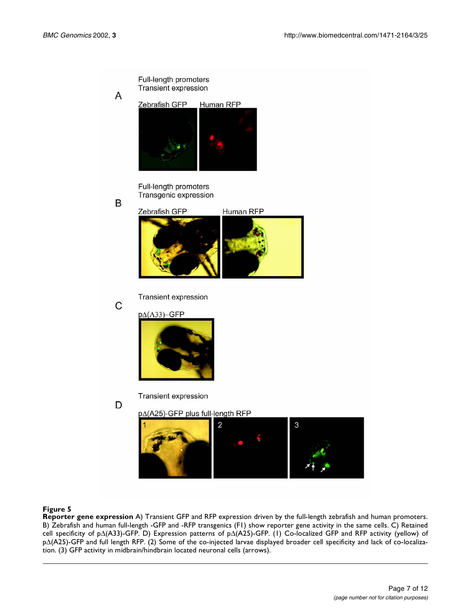

<span id="page-6-0"></span>**Reporter gene expression** A) Transient GFP and RFP expression driven by the full-length zebrafish and human promoters. B) Zebrafish and human full-length -GFP and -RFP transgenics (F1) show reporter gene activity in the same cells. C) Retained cell specificity of p∆(A33)-GFP. D) Expression patterns of p∆(A25)-GFP. (1) Co-localized GFP and RFP activity (yellow) of p∆(A25)-GFP and full length RFP. (2) Some of the co-injected larvae displayed broader cell specificity and lack of co-localization. (3) GFP activity in midbrain/hindbrain located neuronal cells (arrows).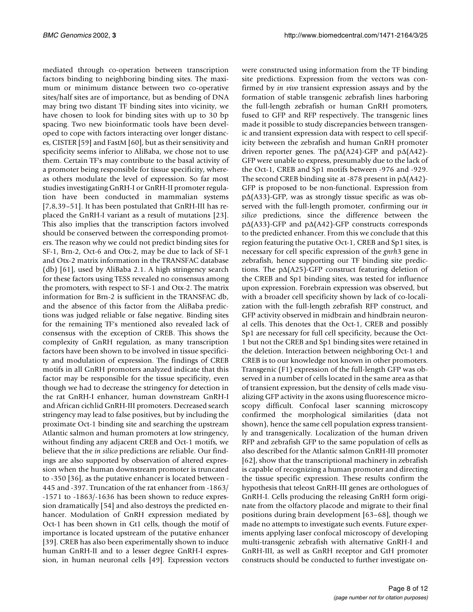mediated through co-operation between transcription factors binding to neighboring binding sites. The maximum or minimum distance between two co-operative sites/half sites are of importance, but as bending of DNA may bring two distant TF binding sites into vicinity, we have chosen to look for binding sites with up to 30 bp spacing. Two new bioinformatic tools have been developed to cope with factors interacting over longer distances, CISTER [59] and FastM [60], but as their sensitivity and specificity seems inferior to AliBaba, we chose not to use them. Certain TF's may contribute to the basal activity of a promoter being responsible for tissue specificity, whereas others modulate the level of expression. So far most studies investigating GnRH-I or GnRH-II promoter regulation have been conducted in mammalian systems [7,8,39–51]. It has been postulated that GnRH-III has replaced the GnRH-I variant as a result of mutations [23]. This also implies that the transcription factors involved should be conserved between the corresponding promoters. The reason why we could not predict binding sites for SF-1, Brn-2, Oct-6 and Otx-2, may be due to lack of SF-1 and Otx-2 matrix information in the TRANSFAC database (db) [61], used by AliBaba 2.1. A high stringency search for these factors using TESS revealed no consensus among the promoters, with respect to SF-1 and Otx-2. The matrix information for Brn-2 is sufficient in the TRANSFAC db, and the absence of this factor from the AliBaba predictions was judged reliable or false negative. Binding sites for the remaining TF's mentioned also revealed lack of consensus with the exception of CREB. This shows the complexity of GnRH regulation, as many transcription factors have been shown to be involved in tissue specificity and modulation of expression. The findings of CREB motifs in all GnRH promoters analyzed indicate that this factor may be responsible for the tissue specificity, even though we had to decrease the stringency for detection in the rat GnRH-I enhancer, human downstream GnRH-I and African cichlid GnRH-III promoters. Decreased search stringency may lead to false positives, but by including the proximate Oct-1 binding site and searching the upstream Atlantic salmon and human promoters at low stringency, without finding any adjacent CREB and Oct-1 motifs, we believe that the *in silico* predictions are reliable. Our findings are also supported by observation of altered expression when the human downstream promoter is truncated to -350 [36], as the putative enhancer is located between - 445 and -397. Truncation of the rat enhancer from -1863/ -1571 to -1863/-1636 has been shown to reduce expression dramatically [54] and also destroys the predicted enhancer. Modulation of GnRH expression mediated by Oct-1 has been shown in Gt1 cells, though the motif of importance is located upstream of the putative enhancer [39]. CREB has also been experimentally shown to induce human GnRH-II and to a lesser degree GnRH-I expression, in human neuronal cells [49]. Expression vectors

were constructed using information from the TF binding site predictions. Expression from the vectors was confirmed by *in vivo* transient expression assays and by the formation of stable transgenic zebrafish lines harboring the full-length zebrafish or human GnRH promoters, fused to GFP and RFP respectively. The transgenic lines made it possible to study discrepancies between transgenic and transient expression data with respect to cell specificity between the zebrafish and human GnRH promoter driven reporter genes. The p∆(A24)-GFP and p∆(A42)- GFP were unable to express, presumably due to the lack of the Oct-1, CREB and Sp1 motifs between -976 and -929. The second CREB binding site at -878 present in p∆(A42)- GFP is proposed to be non-functional. Expression from p∆(A33)-GFP, was as strongly tissue specific as was observed with the full-length promoter, confirming our *in silico* predictions, since the difference between the p∆(A33)-GFP and p∆(A42)-GFP constructs corresponds to the predicted enhancer. From this we conclude that this region featuring the putative Oct-1, CREB and Sp1 sites, is necessary for cell specific expression of the *gnrh*3 gene in zebrafish, hence supporting our TF binding site predictions. The p∆(A25)-GFP construct featuring deletion of the CREB and Sp1 binding sites, was tested for influence upon expression. Forebrain expression was observed, but with a broader cell specificity shown by lack of co-localization with the full-length zebrafish RFP construct, and GFP activity observed in midbrain and hindbrain neuronal cells. This denotes that the Oct-1, CREB and possibly Sp1 are necessary for full cell specificity, because the Oct-1 but not the CREB and Sp1 binding sites were retained in the deletion. Interaction between neighboring Oct-1 and CREB is to our knowledge not known in other promoters. Transgenic (F1) expression of the full-length GFP was observed in a number of cells located in the same area as that of transient expression, but the density of cells made visualizing GFP activity in the axons using fluorescence microscopy difficult. Confocal laser scanning microscopy confirmed the morphological similarities (data not shown), hence the same cell population express transiently and transgenically. Localization of the human driven RFP and zebrafish GFP to the same population of cells as also described for the Atlantic salmon GnRH-III promoter [62], show that the transcriptional machinery in zebrafish is capable of recognizing a human promoter and directing the tissue specific expression. These results confirm the hypothesis that teleost GnRH-III genes are orthologues of GnRH-I. Cells producing the releasing GnRH form originate from the olfactory placode and migrate to their final positions during brain development [63–68], though we made no attempts to investigate such events. Future experiments applying laser confocal microscopy of developing multi-transgenic zebrafish with alternative GnRH-I and GnRH-III, as well as GnRH receptor and GtH promoter constructs should be conducted to further investigate on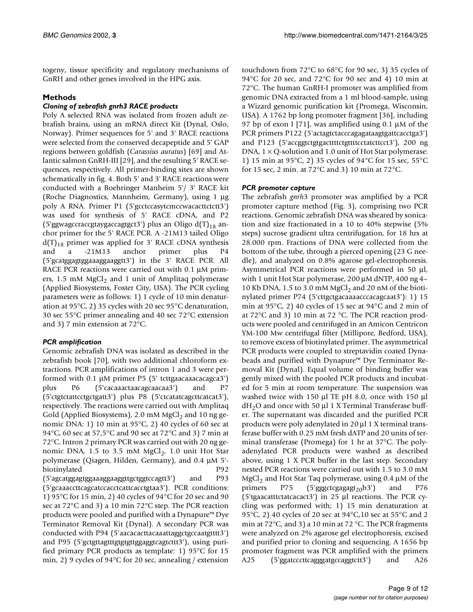togeny, tissue specificity and regulatory mechanisms of GnRH and other genes involved in the HPG axis.

# **Methods**

### *Cloning of zebrafish gnrh3 RACE products*

Poly A selected RNA was isolated from frozen adult zebrafish brains, using an mRNA direct Kit (Dynal, Oslo, Norway). Primer sequences for 5' and 3' RACE reactions were selected from the conserved decapeptide and 5' GAP regions between goldfish (*Carassius auratus*) [69] and Atlantic salmon GnRH-III [29], and the resulting 5' RACE sequences, respectively. All primer-binding sites are shown schematically in fig. 4. Both 5' and 3' RACE reactions were conducted with a Boehringer Manheim 5'/ 3' RACE kit (Roche Diagnostics, Mannheim, Germany), using 1 µg poly A RNA. Primer P1 (5'gcctccasytcmccwacacttctctt3') was used for synthesis of 5' RACE cDNA, and P2 (5'ggwagccraccgtaygaccagtgct3') plus an Oligo  $d(T)_{18}$  anchor primer for the 5' RACE PCR. A -21M13 tailed Oligo  $d(T)_{18}$  primer was applied for 3' RACE cDNA synthesis<br>and a -21M13 anchor primer plus P4 -21M13 anchor primer plus P4 (5'gcatggagtggaaaggaaggtt3') in the 3' RACE PCR. All RACE PCR reactions were carried out with 0.1  $\mu$ M primers, 1.5 mM  $MgCl<sub>2</sub>$  and 1 unit of Amplitaq polymerase (Applied Biosystems, Foster City, USA). The PCR cycling parameters were as follows: 1) 1 cycle of 10 min denaturation at 95°C, 2) 35 cycles with 20 sec 95°C denaturation, 30 sec 55°C primer annealing and 40 sec 72°C extension and 3) 7 min extension at 72°C.

# *PCR amplification*

Genomic zebrafish DNA was isolated as described in the zebrafish book [70], with two additional chloroform extractions. PCR amplifications of intron 1 and 3 were performed with 0.1 µM primer P5 (5' tcttgaacaaacacagca3') plus P6 (5'cacaaactaacagcaacaa3') and P7 (5'ctgtctattcctgctgatt3') plus P8 (5'ctcatatcagcttcatcat3'), respectively. The reactions were carried out with Amplitaq Gold (Applied Biosystems), 2.0 mM  $MgCl<sub>2</sub>$  and 10 ng genomic DNA: 1) 10 min at 95°C, 2) 40 cycles of 60 sec at 94°C, 60 sec at 57,5°C and 90 sec at 72°C and 3) 7 min at 72°C. Intron 2 primary PCR was carried out with 20 ng genomic DNA,  $1.5$  to  $3.5$  mM MgCl<sub>2</sub>,  $1.0$  unit Hot Star polymerase (Qiagen, Hilden, Germany), and 0.4 µM 5' biotinylated P92 (5'agcatggagtggaaaggaaggttgctggtccagtt3') and P93 (5'gcaaaccttcagcatccacctcattcacctgtaa3'). PCR conditions:

1) 95°C for 15 min, 2) 40 cycles of 94°C for 20 sec and 90 sec at 72°C and 3) a 10 min 72°C step. The PCR reaction products were pooled and purified with a Dynapure™ Dye Terminator Removal Kit (Dynal). A secondary PCR was conducted with P94 (5'aacacacttacaaattaggctgccaatgtttt3') and P95 (5'gctgttagtttgtgtgtggaggtcagtcttt3'), using purified primary PCR products as template: 1) 95°C for 15 min, 2) 9 cycles of 94°C for 20 sec, annealing / extension

touchdown from 72°C to 68°C for 90 sec, 3) 35 cycles of 94°C for 20 sec, and 72°C for 90 sec and 4) 10 min at 72°C. The human GnRH-I promoter was amplified from genomic DNA extracted from a 1 ml blood-sample, using a Wizard genomic purification kit (Promega, Wisconsin, USA). A 1762 bp long promoter fragment [36], including 97 bp of exon I [71], was amplified using 0.1 µM of the PCR primers P122 (5'actagtctacccagagataagtgattcacctga3') and P123 (5'accggtctgtgacttttctgttttcctatcttcct3'), 200 ng DNA,  $1 \times Q$ -solution and 1.0 unit of Hot Star polymerase: 1) 15 min at 95°C, 2) 35 cycles of 94°C for 15 sec, 55°C for 15 sec, 2 min. at 72°C and 3) 10 min at 72°C.

### *PCR promoter capture*

The zebrafish *gnrh*3 promoter was amplified by a PCR promoter capture method (Fig. [3\)](#page-3-0), comprising two PCR reactions. Genomic zebrafish DNA was sheared by sonication and size fractionated in a 10 to 40% stepwise (5% steps) sucrose gradient ultra centrifugation, for 18 hrs at 28.000 rpm. Fractions of DNA were collected from the bottom of the tube, through a pierced opening (23 G needle), and analyzed on 0.8% agarose gel-electrophoresis. Asymmetrical PCR reactions were performed in 50 µl, with 1 unit Hot Star polymerase, 200 µM dNTP, 400 ng 4– 10 Kb DNA, 1.5 to 3.0 mM  $MgCl<sub>2</sub>$  and 20 nM of the biotinylated primer P74 (5'cttgctgacaaaacccacagcaat3'): 1) 15 min at 95°C, 2) 40 cycles of 15 sec at 94°C and 2 min of at 72°C and 3) 10 min at 72 °C. The PCR reaction products were pooled and centrifuged in an Amicon Centricon YM-100 Mw centrifugal filter (Millipore, Bedford, USA), to remove excess of biotinylated primer. The asymmetrical PCR products were coupled to streptavidin coated Dynabeads and purified with Dynapure™ Dye Terminator Removal Kit (Dynal). Equal volume of binding buffer was gently mixed with the pooled PCR products and incubated for 5 min at room temperature. The suspension was washed twice with 150 µl TE pH 8.0, once with 150 µl  $dH<sub>2</sub>O$  and once with 50 µl 1 X Terminal Transferase buffer. The supernatant was discarded and the purified PCR products were poly adenylated in 20 µl 1 X terminal transferase buffer with 0.25 mM fresh dATP and 20 units of terminal transferase (Promega) for 1 hr at 37°C. The polyadenylated PCR products were washed as described above, using 1 X PCR buffer in the last step. Secondary nested PCR reactions were carried out with 1.5 to 3.0 mM MgCl<sub>2</sub> and Hot Star Taq polymerase, using 0.4  $\mu$ M of the primers  $P75$  (5'gggctcgagagt<sub>20</sub>b3') and  $P76$ (5'tgaacatttctatcacact3') in 25 µl reactions. The PCR cycling was performed with; 1) 15 min denaturation at 95 $^{\circ}$ C, 2) 40 cycles of 20 sec at 94 $^{\circ}$ C, 10 sec at 55 $^{\circ}$ C and 2 min at 72°C, and 3) a 10 min at 72 °C. The PCR fragments were analyzed on 2% agarose gel electrophoresis, excised and purified prior to cloning and sequencing. A 1656 bp promoter fragment was PCR amplified with the primers A25 (5'ggatcccttcagggatgccaggtctt3') and A26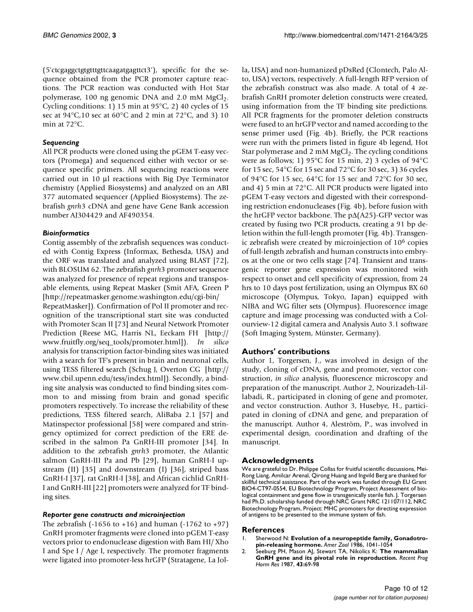(5'ctcgaggctgtgtttgttcaagatgagttct3'), specific for the sequence obtained from the PCR promoter capture reactions. The PCR reaction was conducted with Hot Star polymerase, 100 ng genomic DNA and 2.0 mM  $MgCl<sub>2</sub>$ . Cycling conditions: 1) 15 min at 95°C, 2) 40 cycles of 15 sec at  $94^{\circ}$ C,10 sec at  $60^{\circ}$ C and 2 min at  $72^{\circ}$ C, and 3) 10 min at 72°C.

# *Sequencing*

All PCR products were cloned using the pGEM T-easy vectors (Promega) and sequenced either with vector or sequence specific primers. All sequencing reactions were carried out in 10 µl reactions with Big Dye Terminator chemistry (Applied Biosystems) and analyzed on an ABI 377 automated sequencer (Applied Biosystems). The zebrafish *gnrh*3 cDNA and gene have Gene Bank accession number AJ304429 and AF490354.

# *Bioinformatics*

Contig assembly of the zebrafish sequences was conducted with Contig Express (Informax, Bethesda, USA) and the ORF was translated and analyzed using BLAST [72], with BLOSUM 62. The zebrafish *gnrh*[3 promoter sequence](http://repeatmasker.genome.washington.edu/cgi-bin/RepeatMasker) [was analyzed for presence of repeat regions and transpos](http://repeatmasker.genome.washington.edu/cgi-bin/RepeatMasker)able elements, using Repeat Masker (Smit AFA, Green P [http://repeatmasker.genome.washington.edu/cgi-bin/ RepeatMasker]). Confirmation of Pol II promoter and recognition of the transcriptional start site was conducted with Promoter Scan II [73] and Neural Network Promoter [Prediction \(Reese MG, Harris NL, Eeckam FH \[](http://repeatmasker.genome.washington.edu/cgi-bin/RepeatMasker)[http://](http://www.fruitfly.org/seq_tools/promoter.html) [www.fruitfly.org/seq\\_tools/promoter.html\]\).](http://www.fruitfly.org/seq_tools/promoter.html) *In silic[o](http://www.cbil.upenn.edu/tess/index.html)* analysis for transcription factor-binding sites was initiated with a search for TF's present in brain and neuronal cells, using TESS filtered search (Schug J, Overton CG [http:// www.cbil.upenn.edu/tess/index.html]). Secondly, a binding site analysis was conducted to find binding sites common to and missing from brain and gonad specific promoters respectively. To increase the reliability of these [predictions, TESS filtered search, AliBaba 2.1 \[57\] and](http://www.cbil.upenn.edu/tess/index.html) Matinspector professional [58] were compared and stringency optimized for correct prediction of the ERE described in the salmon Pa GnRH-III promoter [34]. In [addition to the zebrafish](http://www.cbil.upenn.edu/tess/index.html) *gnrh*3 promoter, the Atlantic salmon GnRH-III Pa and Pb [29], human GnRH-I upstream (II) [35] and downstream (I) [36], striped bass GnRH-I [37], rat GnRH-I [38], and African cichlid GnRH-I and GnRH-III [22] promoters were analyzed for TF binding sites.

# *Reporter gene constructs and microinjection*

The zebrafish  $(-1656 \text{ to } +16)$  and human  $(-1762 \text{ to } +97)$ GnRH promoter fragments were cloned into pGEM T-easy vectors prior to endonuclease digestion with Bam HI/ Xho I and Spe I / Age I, respectively. The promoter fragments were ligated into promoter-less hrGFP (Stratagene, La Jolla, USA) and non-humanized pDsRed (Clontech, Palo Alto, USA) vectors, respectively. A full-length RFP version of the zebrafish construct was also made. A total of 4 zebrafish GnRH promoter deletion constructs were created, using information from the TF binding site predictions. All PCR fragments for the promoter deletion constructs were fused to an hrGFP vector and named according to the sense primer used (Fig. 4b). Briefly, the PCR reactions were run with the primers listed in figure 4b legend, Hot Star polymerase and 2 mM  $MgCl<sub>2</sub>$ . The cycling conditions were as follows; 1) 95°C for 15 min, 2) 3 cycles of 94°C for 15 sec, 54°C for 15 sec and 72°C for 30 sec, 3) 36 cycles of 94°C for 15 sec, 64°C for 15 sec and 72°C for 30 sec, and 4) 5 min at 72°C. All PCR products were ligated into pGEM T-easy vectors and digested with their corresponding restriction endonucleases (Fig. 4b), before fusion with the hrGFP vector backbone. The p∆(A25)-GFP vector was created by fusing two PCR products, creating a 91 bp deletion within the full-length promoter (Fig. 4b). Transgenic zebrafish were created by microinjection of 106 copies of full-length zebrafish and human constructs into embryos at the one or two cells stage [74]. Transient and transgenic reporter gene expression was monitored with respect to onset and cell specificity of expression, from 24 hrs to 10 days post fertilization, using an Olympus BX 60 microscope (Olympus, Tokyo, Japan) equipped with NIBA and WG filter sets (Olympus). Fluorescence image capture and image processing was conducted with a Colourview-12 digital camera and Analysis Auto 3.1 software (Soft Imaging System, Münster, Germany).

# **Authors' contributions**

Author 1, Torgersen, J., was involved in design of the study, cloning of cDNA, gene and promoter, vector construction, *in silico* analysis, fluorescence microscopy and preparation of the manuscript. Author 2, Nourizadeh-Lillabadi, R., participated in cloning of gene and promoter, and vector construction. Author 3, Husebye, H., participated in cloning of cDNA and gene, and preparation of the manuscript. Author 4, Aleström, P., was involved in experimental design, coordination and drafting of the manuscript.

# **Acknowledgments**

We are grateful to Dr. Philippe Collas for fruitful scientific discussions, Mei-Rong Liang, Amilcar Arenal, Qirong Huang and Ingvild Berg are thanked for skillful technical assistance. Part of the work was funded through EU Grant BIO4-CT97-0554, EU Biotechnology Program, Project Assessment of biological containment and gene flow in transgenically sterile fish. J. Torgersen had Ph.D. scholarship funded through NRC Grant NRC 121107/112, NRC Biotechnology Program, Project: MHC promoters for directing expression of antigens to be presented to the immune system of fish.

# **References**

- 1. Sherwood N: **Evolution of a neuropeptide family, Gonadotropin-releasing hormone.** *Amer Zool* 1986, 1041-1054
- 2. [Seeburg PH, Mason AJ, Stewart TA, Nikolics K:](http://www.ncbi.nlm.nih.gov/entrez/query.fcgi?cmd=Retrieve&db=PubMed&dopt=Abstract&list_uids=3306841) **[The mammalian](http://www.ncbi.nlm.nih.gov/entrez/query.fcgi?cmd=Retrieve&db=PubMed&dopt=Abstract&list_uids=3306841) [GnRH gene and its pivotal role in reproduction.](http://www.ncbi.nlm.nih.gov/entrez/query.fcgi?cmd=Retrieve&db=PubMed&dopt=Abstract&list_uids=3306841)** *Recent Prog Horm Res* 1987, **43:**69-98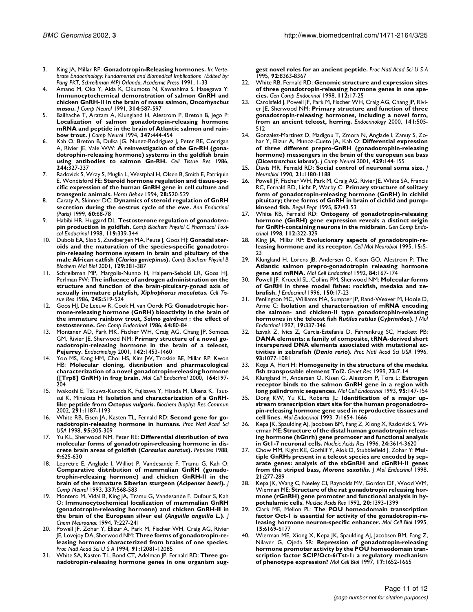- 3. King JA, Millar RP: **Gonadotropin-Releasing hormones.** *In: Vertebrate Endocrinology: Fundamental and Biomedical Implications (Edited by: Pang PKT, Schreibman MP) Orlando, Academic Press* 1991, 1-33
- Amano M, Oka Y, Aida K, Okumoto N, Kawashima S, Hasegawa Y: **Immunocytochemical demonstration of salmon GnRH and chicken GnRH-II in the brain of masu salmon,** *Oncorhynchus masou***[.](http://www.ncbi.nlm.nih.gov/entrez/query.fcgi?cmd=Retrieve&db=PubMed&dopt=Abstract&list_uids=1814976)** *J Comp Neurol* 1991, **314:**587-597
- 5. [Bailhache T, Arazam A, Klungland H, Alestrom P, Breton B, Jego P:](http://www.ncbi.nlm.nih.gov/entrez/query.fcgi?cmd=Retrieve&db=PubMed&dopt=Abstract&list_uids=7822493) **[Localization of salmon gonadotropin-releasing hormone](http://www.ncbi.nlm.nih.gov/entrez/query.fcgi?cmd=Retrieve&db=PubMed&dopt=Abstract&list_uids=7822493) [mRNA and peptide in the brain of Atlantic salmon and rain](http://www.ncbi.nlm.nih.gov/entrez/query.fcgi?cmd=Retrieve&db=PubMed&dopt=Abstract&list_uids=7822493)[bow trout.](http://www.ncbi.nlm.nih.gov/entrez/query.fcgi?cmd=Retrieve&db=PubMed&dopt=Abstract&list_uids=7822493)** *J Comp Neurol* 1994, **347:**444-454
- Kah O, Breton B, Dulka JG, Nunez-Rodriguez J, Peter RE, Corrigan [A, Rivier JE, Vale WW:](http://www.ncbi.nlm.nih.gov/entrez/query.fcgi?cmd=Retrieve&db=PubMed&dopt=Abstract&list_uids=3521879) **[A reinvestigation of the Gn-RH \(gona](http://www.ncbi.nlm.nih.gov/entrez/query.fcgi?cmd=Retrieve&db=PubMed&dopt=Abstract&list_uids=3521879)[dotrophin-releasing hormone\) systems in the goldfish brain](http://www.ncbi.nlm.nih.gov/entrez/query.fcgi?cmd=Retrieve&db=PubMed&dopt=Abstract&list_uids=3521879) [using antibodies to salmon Gn-RH.](http://www.ncbi.nlm.nih.gov/entrez/query.fcgi?cmd=Retrieve&db=PubMed&dopt=Abstract&list_uids=3521879)** *Cell Tissue Res* 1986, **244:**327-337
- Radovick S, Wray S, Muglia L, Westphal H, Olsen B, Smith E, Patriquin [E, Wondisford FE:](http://www.ncbi.nlm.nih.gov/entrez/query.fcgi?cmd=Retrieve&db=PubMed&dopt=Abstract&list_uids=7729821) **[Steroid hormone regulation and tissue-spe](http://www.ncbi.nlm.nih.gov/entrez/query.fcgi?cmd=Retrieve&db=PubMed&dopt=Abstract&list_uids=7729821)[cific expression of the human GnRH gene in cell culture and](http://www.ncbi.nlm.nih.gov/entrez/query.fcgi?cmd=Retrieve&db=PubMed&dopt=Abstract&list_uids=7729821) [transgenic animals.](http://www.ncbi.nlm.nih.gov/entrez/query.fcgi?cmd=Retrieve&db=PubMed&dopt=Abstract&list_uids=7729821)** *Horm Behav* 1994, **28:**520-529
- 8. [Caraty A, Skinner DC:](http://www.ncbi.nlm.nih.gov/entrez/query.fcgi?cmd=Retrieve&db=PubMed&dopt=Abstract&list_uids=10456176) **[Dynamics of steroid regulation of GnRH](http://www.ncbi.nlm.nih.gov/entrez/query.fcgi?cmd=Retrieve&db=PubMed&dopt=Abstract&list_uids=10456176) [secretion during the oestrus cycle of the ewe.](http://www.ncbi.nlm.nih.gov/entrez/query.fcgi?cmd=Retrieve&db=PubMed&dopt=Abstract&list_uids=10456176)** *Ann Endocrinol (Paris)* 1999, **60:**68-78
- 9. [Habibi HR, Huggard DL:](http://www.ncbi.nlm.nih.gov/entrez/query.fcgi?cmd=Retrieve&db=PubMed&dopt=Abstract&list_uids=9827006) **[Testosterone regulation of gonadotro](http://www.ncbi.nlm.nih.gov/entrez/query.fcgi?cmd=Retrieve&db=PubMed&dopt=Abstract&list_uids=9827006)[pin production in goldfish.](http://www.ncbi.nlm.nih.gov/entrez/query.fcgi?cmd=Retrieve&db=PubMed&dopt=Abstract&list_uids=9827006)** *Comp Biochem Physiol C Pharmacol Toxicol Endocrinol* 1998, **119:**339-344
- 10. [Dubois EA, Slob S, Zandbergen MA, Peute J, Goos HJ:](http://www.ncbi.nlm.nih.gov/entrez/query.fcgi?cmd=Retrieve&db=PubMed&dopt=Abstract&list_uids=11399472) **Gonadal steroids and the maturation of the species-specific gonadotropin-releasing hormone system in brain and pituitary of the male African catfish (***Clarias gariepinus***[\).](http://www.ncbi.nlm.nih.gov/entrez/query.fcgi?cmd=Retrieve&db=PubMed&dopt=Abstract&list_uids=11399472)** *Comp Biochem Physiol B Biochem Mol Biol* 2001, **129:**381-387
- Schreibman MP, Margolis-Nunno H, Halpern-Sebold LR, Goos HJ, [Perlman PW:](http://www.ncbi.nlm.nih.gov/entrez/query.fcgi?cmd=Retrieve&db=PubMed&dopt=Abstract&list_uids=3530490) **The influence of androgen administration on the structure and function of the brain-pituitary-gonad axis of sexually immature platyfish,** *Xiphophorus maculatus***[.](http://www.ncbi.nlm.nih.gov/entrez/query.fcgi?cmd=Retrieve&db=PubMed&dopt=Abstract&list_uids=3530490)** *Cell Tissue Res* 1986, **245:**519-524
- 12. [Goos HJ, De Leeuw R, Cook H, van Oordt PG:](http://www.ncbi.nlm.nih.gov/entrez/query.fcgi?cmd=Retrieve&db=PubMed&dopt=Abstract&list_uids=3549432) **Gonadotropic hormone-releasing hormone (GnRH) bioactivity in the brain of the immature rainbow trout,** *Salmo gairdneri* **[: the effect of](http://www.ncbi.nlm.nih.gov/entrez/query.fcgi?cmd=Retrieve&db=PubMed&dopt=Abstract&list_uids=3549432) [testosterone.](http://www.ncbi.nlm.nih.gov/entrez/query.fcgi?cmd=Retrieve&db=PubMed&dopt=Abstract&list_uids=3549432)** *Gen Comp Endocrinol* 1986, **64:**80-84
- 13. [Montaner AD, Park MK, Fischer WH, Craig AG, Chang JP, Somoza](http://www.ncbi.nlm.nih.gov/entrez/query.fcgi?cmd=Retrieve&db=PubMed&dopt=Abstract&list_uids=11250925) [GM, Rivier JE, Sherwood NM:](http://www.ncbi.nlm.nih.gov/entrez/query.fcgi?cmd=Retrieve&db=PubMed&dopt=Abstract&list_uids=11250925) **[Primary structure of a novel go](http://www.ncbi.nlm.nih.gov/entrez/query.fcgi?cmd=Retrieve&db=PubMed&dopt=Abstract&list_uids=11250925)[nadotropin-releasing hormone in the brain of a teleost,](http://www.ncbi.nlm.nih.gov/entrez/query.fcgi?cmd=Retrieve&db=PubMed&dopt=Abstract&list_uids=11250925) [Pejerrey.](http://www.ncbi.nlm.nih.gov/entrez/query.fcgi?cmd=Retrieve&db=PubMed&dopt=Abstract&list_uids=11250925)** *Endocrinology* 2001, **142:**1453-1460
- Yoo MS, Kang HM, Choi HS, Kim JW, Troskie BE, Millar RP, Kwon [HB:](http://www.ncbi.nlm.nih.gov/entrez/query.fcgi?cmd=Retrieve&db=PubMed&dopt=Abstract&list_uids=11026571) **[Molecular cloning, distribution and pharmacological](http://www.ncbi.nlm.nih.gov/entrez/query.fcgi?cmd=Retrieve&db=PubMed&dopt=Abstract&list_uids=11026571) [characterization of a novel gonadotropin-releasing hormone](http://www.ncbi.nlm.nih.gov/entrez/query.fcgi?cmd=Retrieve&db=PubMed&dopt=Abstract&list_uids=11026571) [\(\[Trp8\] GnRH\) in frog brain.](http://www.ncbi.nlm.nih.gov/entrez/query.fcgi?cmd=Retrieve&db=PubMed&dopt=Abstract&list_uids=11026571)** *Mol Cell Endocrinol* 2000, **164:**197- 204
- 15. [Iwakoshi E, Takuwa-Kuroda K, Fujisawa Y, Hisada M, Ukena K, Tsut](http://www.ncbi.nlm.nih.gov/entrez/query.fcgi?cmd=Retrieve&db=PubMed&dopt=Abstract&list_uids=11883942)[sui K, Minakata H:](http://www.ncbi.nlm.nih.gov/entrez/query.fcgi?cmd=Retrieve&db=PubMed&dopt=Abstract&list_uids=11883942) **Isolation and characterization of a GnRHlike peptide from** *Octopus vulgaris***[.](http://www.ncbi.nlm.nih.gov/entrez/query.fcgi?cmd=Retrieve&db=PubMed&dopt=Abstract&list_uids=11883942)** *Biochem Biophys Res Commun* 2002, **291:**1187-1193
- 16. [White RB, Eisen JA, Kasten TL, Fernald RD:](http://www.ncbi.nlm.nih.gov/entrez/query.fcgi?cmd=Retrieve&db=PubMed&dopt=Abstract&list_uids=9419371) **[Second gene for go](http://www.ncbi.nlm.nih.gov/entrez/query.fcgi?cmd=Retrieve&db=PubMed&dopt=Abstract&list_uids=18209)[nadotropin-releasing hormone in humans.](http://www.ncbi.nlm.nih.gov/entrez/query.fcgi?cmd=Retrieve&db=PubMed&dopt=Abstract&list_uids=18209)** *Proc Natl Acad Sci USA* 1998, **95:**305-309
- 17. [Yu KL, Sherwood NM, Peter RE:](http://www.ncbi.nlm.nih.gov/entrez/query.fcgi?cmd=Retrieve&db=PubMed&dopt=Abstract&list_uids=3047700) **Differential distribution of two molecular forms of gonadotropin-releasing hormone in discrete brain areas of goldfish (***Carassius auratus***[\).](http://www.ncbi.nlm.nih.gov/entrez/query.fcgi?cmd=Retrieve&db=PubMed&dopt=Abstract&list_uids=3047700)** *Peptides* 1988, **9:**625-630
- 18. [Lepretre E, Anglade I, Williot P, Vandesande F, Tramu G, Kah O:](http://www.ncbi.nlm.nih.gov/entrez/query.fcgi?cmd=Retrieve&db=PubMed&dopt=Abstract&list_uids=8288771) **Comparative distribution of mammalian GnRH (gonadotrophin-releasing hormone) and chicken GnRH-II in the brain of the immature Siberian sturgeon (***Acipenser baeri***[\).](http://www.ncbi.nlm.nih.gov/entrez/query.fcgi?cmd=Retrieve&db=PubMed&dopt=Abstract&list_uids=8288771)** *J Comp Neurol* 1993, **337:**568-583
- 19. [Montero M, Vidal B, King JA, Tramu G, Vandesande F, Dufour S, Kah](http://www.ncbi.nlm.nih.gov/entrez/query.fcgi?cmd=Retrieve&db=PubMed&dopt=Abstract&list_uids=7873095) [O:](http://www.ncbi.nlm.nih.gov/entrez/query.fcgi?cmd=Retrieve&db=PubMed&dopt=Abstract&list_uids=7873095) **Immunocytochemical localization of mammalian GnRH (gonadotropin-releasing hormone) and chicken GnRH-II in the brain of the European silver eel (***Anguilla anguilla L.***[\).](http://www.ncbi.nlm.nih.gov/entrez/query.fcgi?cmd=Retrieve&db=PubMed&dopt=Abstract&list_uids=7873095)** *J Chem Neuroanat* 1994, **7:**227-241
- 20. [Powell JF, Zohar Y, Elizur A, Park M, Fischer WH, Craig AG, Rivier](http://www.ncbi.nlm.nih.gov/entrez/query.fcgi?cmd=Retrieve&db=PubMed&dopt=Abstract&list_uids=7991588) [JE, Lovejoy DA, Sherwood NM:](http://www.ncbi.nlm.nih.gov/entrez/query.fcgi?cmd=Retrieve&db=PubMed&dopt=Abstract&list_uids=7991588) **[Three forms of gonadotropin-re](http://www.ncbi.nlm.nih.gov/entrez/query.fcgi?cmd=Retrieve&db=PubMed&dopt=Abstract&list_uids=45380)[leasing hormone characterized from brains of one species.](http://www.ncbi.nlm.nih.gov/entrez/query.fcgi?cmd=Retrieve&db=PubMed&dopt=Abstract&list_uids=45380)** *Proc Natl Acad Sci U S A* 1994, **91:**12081-12085
- 21. [White SA, Kasten TL, Bond CT, Adelman JP, Fernald RD:](http://www.ncbi.nlm.nih.gov/entrez/query.fcgi?cmd=Retrieve&db=PubMed&dopt=Abstract&list_uids=7667296) **[Three go](http://www.ncbi.nlm.nih.gov/entrez/query.fcgi?cmd=Retrieve&db=PubMed&dopt=Abstract&list_uids=41157)[nadotropin-releasing hormone genes in one organism sug-](http://www.ncbi.nlm.nih.gov/entrez/query.fcgi?cmd=Retrieve&db=PubMed&dopt=Abstract&list_uids=41157)**

**[gest novel roles for an ancient peptide.](http://www.ncbi.nlm.nih.gov/entrez/query.fcgi?cmd=Retrieve&db=PubMed&dopt=Abstract&list_uids=41157)** *Proc Natl Acad Sci U S A* 1995, **92:**8363-8367

- 22. [White RB, Fernald RD:](http://www.ncbi.nlm.nih.gov/entrez/query.fcgi?cmd=Retrieve&db=PubMed&dopt=Abstract&list_uids=9748399) **[Genomic structure and expression sites](http://www.ncbi.nlm.nih.gov/entrez/query.fcgi?cmd=Retrieve&db=PubMed&dopt=Abstract&list_uids=9748399) [of three gonadotropin-releasing hormone genes in one spe](http://www.ncbi.nlm.nih.gov/entrez/query.fcgi?cmd=Retrieve&db=PubMed&dopt=Abstract&list_uids=9748399)[cies.](http://www.ncbi.nlm.nih.gov/entrez/query.fcgi?cmd=Retrieve&db=PubMed&dopt=Abstract&list_uids=9748399)** *Gen Comp Endocrinol* 1998, **112:**17-25
- 23. [Carolsfeld J, Powell JF, Park M, Fischer WH, Craig AG, Chang JP, Rivi](http://www.ncbi.nlm.nih.gov/entrez/query.fcgi?cmd=Retrieve&db=PubMed&dopt=Abstract&list_uids=10650929)[er JE, Sherwood NM:](http://www.ncbi.nlm.nih.gov/entrez/query.fcgi?cmd=Retrieve&db=PubMed&dopt=Abstract&list_uids=10650929) **[Primary structure and function of three](http://www.ncbi.nlm.nih.gov/entrez/query.fcgi?cmd=Retrieve&db=PubMed&dopt=Abstract&list_uids=10650929) [gonadotropin-releasing hormones, including a novel form,](http://www.ncbi.nlm.nih.gov/entrez/query.fcgi?cmd=Retrieve&db=PubMed&dopt=Abstract&list_uids=10650929) [from an ancient teleost, herring.](http://www.ncbi.nlm.nih.gov/entrez/query.fcgi?cmd=Retrieve&db=PubMed&dopt=Abstract&list_uids=10650929)** *Endocrinology* 2000, **141:**505- 512
- 24. [Gonzalez-Martinez D, Madigou T, Zmora N, Anglade I, Zanuy S, Zo](http://www.ncbi.nlm.nih.gov/entrez/query.fcgi?cmd=Retrieve&db=PubMed&dopt=Abstract&list_uids=11086295)[har Y, Elizur A, Munoz-Cueto JA, Kah O:](http://www.ncbi.nlm.nih.gov/entrez/query.fcgi?cmd=Retrieve&db=PubMed&dopt=Abstract&list_uids=11086295) **Differential expression of three different prepro-GnRH (gonadotrophin-releasing hormone) messengers in the brain of the european sea bass (***Dicentrarchus labrax***[\).](http://www.ncbi.nlm.nih.gov/entrez/query.fcgi?cmd=Retrieve&db=PubMed&dopt=Abstract&list_uids=11086295)** *J Comp Neurol* 2001, **429:**144-155
- 25. [Davis MR, Fernald RD:](http://www.ncbi.nlm.nih.gov/entrez/query.fcgi?cmd=Retrieve&db=PubMed&dopt=Abstract&list_uids=2273399) **[Social control of neuronal soma size.](http://www.ncbi.nlm.nih.gov/entrez/query.fcgi?cmd=Retrieve&db=PubMed&dopt=Abstract&list_uids=2273399)** *J Neurobiol* 1990, **21:**1180-1188
- Powell JF, Fischer WH, Park M, Craig AG, Rivier JE, White SA, Francis [RC, Fernald RD, Licht P, Warby C:](http://www.ncbi.nlm.nih.gov/entrez/query.fcgi?cmd=Retrieve&db=PubMed&dopt=Abstract&list_uids=7644702) **[Primary structure of solitary](http://www.ncbi.nlm.nih.gov/entrez/query.fcgi?cmd=Retrieve&db=PubMed&dopt=Abstract&list_uids=7644702) [form of gonadotropin-releasing hormone \(GnRH\) in cichlid](http://www.ncbi.nlm.nih.gov/entrez/query.fcgi?cmd=Retrieve&db=PubMed&dopt=Abstract&list_uids=7644702) pituitary; three forms of GnRH in brain of cichlid and pump[kinseed fish.](http://www.ncbi.nlm.nih.gov/entrez/query.fcgi?cmd=Retrieve&db=PubMed&dopt=Abstract&list_uids=7644702)** *Regul Pept* 1995, **57:**43-53
- 27. [White RB, Fernald RD:](http://www.ncbi.nlm.nih.gov/entrez/query.fcgi?cmd=Retrieve&db=PubMed&dopt=Abstract&list_uids=9843638) **[Ontogeny of gonadotropin-releasing](http://www.ncbi.nlm.nih.gov/entrez/query.fcgi?cmd=Retrieve&db=PubMed&dopt=Abstract&list_uids=9843638) [hormone \(GnRH\) gene expression reveals a distinct origin](http://www.ncbi.nlm.nih.gov/entrez/query.fcgi?cmd=Retrieve&db=PubMed&dopt=Abstract&list_uids=9843638) [for GnRH-containing neurons in the midbrain.](http://www.ncbi.nlm.nih.gov/entrez/query.fcgi?cmd=Retrieve&db=PubMed&dopt=Abstract&list_uids=9843638)** *Gen Comp Endocrinol* 1998, **112:**322-329
- 28. [King JA, Millar RP:](http://www.ncbi.nlm.nih.gov/entrez/query.fcgi?cmd=Retrieve&db=PubMed&dopt=Abstract&list_uids=7648610) **[Evolutionary aspects of gonadotropin-re](http://www.ncbi.nlm.nih.gov/entrez/query.fcgi?cmd=Retrieve&db=PubMed&dopt=Abstract&list_uids=7648610)[leasing hormone and its receptor.](http://www.ncbi.nlm.nih.gov/entrez/query.fcgi?cmd=Retrieve&db=PubMed&dopt=Abstract&list_uids=7648610)** *Cell Mol Neurobiol* 1995, **15:**5- 23
- 29. [Klungland H, Lorens JB, Andersen O, Kisen GO, Alestrom P:](http://www.ncbi.nlm.nih.gov/entrez/query.fcgi?cmd=Retrieve&db=PubMed&dopt=Abstract&list_uids=1587389) **[The](http://www.ncbi.nlm.nih.gov/entrez/query.fcgi?cmd=Retrieve&db=PubMed&dopt=Abstract&list_uids=1587389) [Atlantic salmon prepro-gonadotropin releasing hormone](http://www.ncbi.nlm.nih.gov/entrez/query.fcgi?cmd=Retrieve&db=PubMed&dopt=Abstract&list_uids=1587389) [gene and mRNA.](http://www.ncbi.nlm.nih.gov/entrez/query.fcgi?cmd=Retrieve&db=PubMed&dopt=Abstract&list_uids=1587389)** *Mol Cell Endocrinol* 1992, **84:**167-174
- 30. [Powell JF, Krueckl SL, Collins PM, Sherwood NM:](http://www.ncbi.nlm.nih.gov/entrez/query.fcgi?cmd=Retrieve&db=PubMed&dopt=Abstract&list_uids=8708558) **[Molecular forms](http://www.ncbi.nlm.nih.gov/entrez/query.fcgi?cmd=Retrieve&db=PubMed&dopt=Abstract&list_uids=8708558) [of GnRH in three model fishes: rockfish, medaka and ze](http://www.ncbi.nlm.nih.gov/entrez/query.fcgi?cmd=Retrieve&db=PubMed&dopt=Abstract&list_uids=8708558)[brafish.](http://www.ncbi.nlm.nih.gov/entrez/query.fcgi?cmd=Retrieve&db=PubMed&dopt=Abstract&list_uids=8708558)** *J Endocrinol* 1996, **150:**17-23
- 31. [Penlington MC, Williams MA, Sumpter JP, Rand-Weaver M, Hoole D,](http://www.ncbi.nlm.nih.gov/entrez/query.fcgi?cmd=Retrieve&db=PubMed&dopt=Abstract&list_uids=9460654) [Arme C:](http://www.ncbi.nlm.nih.gov/entrez/query.fcgi?cmd=Retrieve&db=PubMed&dopt=Abstract&list_uids=9460654) **Isolation and characterisation of mRNA encoding the salmon- and chicken-II type gonadotrophin-releasing hormones in the teleost fish** *Rutilus rutilus* **(***Cyprinidae***[\).](http://www.ncbi.nlm.nih.gov/entrez/query.fcgi?cmd=Retrieve&db=PubMed&dopt=Abstract&list_uids=9460654)** *J Mol Endocrinol* 1997, **19:**337-346
- Izsvak Z, Ivics Z, Garcia-Estefania D, Fahrenkrug SC, Hackett PB: **DANA elements: a family of composite, tRNA-derived short interspersed DNA elements associated with mutational activities in zebrafish (***Danio rerio***[\).](http://www.ncbi.nlm.nih.gov/entrez/query.fcgi?cmd=Retrieve&db=PubMed&dopt=Abstract&list_uids=40033)** *Proc Natl Acad Sci USA* 1996, **93:**1077-1081
- 33. [Koga A, Hori H:](http://www.ncbi.nlm.nih.gov/entrez/query.fcgi?cmd=Retrieve&db=PubMed&dopt=Abstract&list_uids=10218443) **[Homogeneity in the structure of the medaka](http://www.ncbi.nlm.nih.gov/entrez/query.fcgi?cmd=Retrieve&db=PubMed&dopt=Abstract&list_uids=10218443) [fish transposable element Tol2.](http://www.ncbi.nlm.nih.gov/entrez/query.fcgi?cmd=Retrieve&db=PubMed&dopt=Abstract&list_uids=10218443)** *Genet Res* 1999, **73:**7-14
- 34. [Klungland H, Andersen O, Kisen G, Alestrom P, Tora L:](http://www.ncbi.nlm.nih.gov/entrez/query.fcgi?cmd=Retrieve&db=PubMed&dopt=Abstract&list_uids=8243805) **[Estrogen](http://www.ncbi.nlm.nih.gov/entrez/query.fcgi?cmd=Retrieve&db=PubMed&dopt=Abstract&list_uids=8243805) [receptor binds to the salmon GnRH gene in a region with](http://www.ncbi.nlm.nih.gov/entrez/query.fcgi?cmd=Retrieve&db=PubMed&dopt=Abstract&list_uids=8243805) [long palindromic sequences.](http://www.ncbi.nlm.nih.gov/entrez/query.fcgi?cmd=Retrieve&db=PubMed&dopt=Abstract&list_uids=8243805)** *Mol Cell Endocrinol* 1993, **95:**147-154
- 35. [Dong KW, Yu KL, Roberts JL:](http://www.ncbi.nlm.nih.gov/entrez/query.fcgi?cmd=Retrieve&db=PubMed&dopt=Abstract&list_uids=8145771) **[Identification of a major up](http://www.ncbi.nlm.nih.gov/entrez/query.fcgi?cmd=Retrieve&db=PubMed&dopt=Abstract&list_uids=8145771)stream transcription start site for the human progonadotro[pin-releasing hormone gene used in reproductive tissues and](http://www.ncbi.nlm.nih.gov/entrez/query.fcgi?cmd=Retrieve&db=PubMed&dopt=Abstract&list_uids=8145771) [cell lines.](http://www.ncbi.nlm.nih.gov/entrez/query.fcgi?cmd=Retrieve&db=PubMed&dopt=Abstract&list_uids=8145771)** *Mol Endocrinol* 1993, **7:**1654-1666
- 36. [Kepa JK, Spaulding AJ, Jacobsen BM, Fang Z, Xiong X, Radovick S, Wi](http://www.ncbi.nlm.nih.gov/entrez/query.fcgi?cmd=Retrieve&db=PubMed&dopt=Abstract&list_uids=8836191)[erman ME:](http://www.ncbi.nlm.nih.gov/entrez/query.fcgi?cmd=Retrieve&db=PubMed&dopt=Abstract&list_uids=8836191) **[Structure of the distal human gonadotropin releas](http://www.ncbi.nlm.nih.gov/entrez/query.fcgi?cmd=Retrieve&db=PubMed&dopt=Abstract&list_uids=8836191)[ing hormone \(hGnrh\) gene promoter and functional analysis](http://www.ncbi.nlm.nih.gov/entrez/query.fcgi?cmd=Retrieve&db=PubMed&dopt=Abstract&list_uids=8836191) [in Gt1-7 neuronal cells.](http://www.ncbi.nlm.nih.gov/entrez/query.fcgi?cmd=Retrieve&db=PubMed&dopt=Abstract&list_uids=8836191)** *Nucleic Acids Res* 1996, **24:**3614-3620
- 37. [Chow MM, Kight KE, Gothilf Y, Alok D, Stubblefield J, Zohar Y:](http://www.ncbi.nlm.nih.gov/entrez/query.fcgi?cmd=Retrieve&db=PubMed&dopt=Abstract&list_uids=9845669) **Multiple GnRHs present in a teleost species are encoded by separate genes: analysis of the sbGnRH and cGnRH-II genes from the striped bass,** *Morone saxatilis***[.](http://www.ncbi.nlm.nih.gov/entrez/query.fcgi?cmd=Retrieve&db=PubMed&dopt=Abstract&list_uids=9845669)** *J Mol Endocrinol* 1998, **21:**277-289
- Kepa JK, Wang C, Neeley CI, Raynolds MV, Gordon DF, Wood WM, [Wierman ME:](http://www.ncbi.nlm.nih.gov/entrez/query.fcgi?cmd=Retrieve&db=PubMed&dopt=Abstract&list_uids=1561095) **[Structure of the rat gonadotropin releasing hor](http://www.ncbi.nlm.nih.gov/entrez/query.fcgi?cmd=Retrieve&db=PubMed&dopt=Abstract&list_uids=1561095)[mone \(rGnRH\) gene promoter and functional analysis in hy](http://www.ncbi.nlm.nih.gov/entrez/query.fcgi?cmd=Retrieve&db=PubMed&dopt=Abstract&list_uids=1561095)[pothalamic cells.](http://www.ncbi.nlm.nih.gov/entrez/query.fcgi?cmd=Retrieve&db=PubMed&dopt=Abstract&list_uids=1561095)** *Nucleic Acids Res* 1992, **20:**1393-1399
- 39. [Clark ME, Mellon PL:](http://www.ncbi.nlm.nih.gov/entrez/query.fcgi?cmd=Retrieve&db=PubMed&dopt=Abstract&list_uids=7565769) **[The POU homeodomain transcription](http://www.ncbi.nlm.nih.gov/entrez/query.fcgi?cmd=Retrieve&db=PubMed&dopt=Abstract&list_uids=7565769) [factor Oct-1 is essential for activity of the gonadotropin-re](http://www.ncbi.nlm.nih.gov/entrez/query.fcgi?cmd=Retrieve&db=PubMed&dopt=Abstract&list_uids=7565769)[leasing hormone neuron-specific enhancer.](http://www.ncbi.nlm.nih.gov/entrez/query.fcgi?cmd=Retrieve&db=PubMed&dopt=Abstract&list_uids=7565769)** *Mol Cell Biol* 1995, **15:**6169-6177
- Wierman ME, Xiong X, Kepa JK, Spaulding AJ, Jacobsen BM, Fang Z, [Nilaver G, Ojeda SR:](http://www.ncbi.nlm.nih.gov/entrez/query.fcgi?cmd=Retrieve&db=PubMed&dopt=Abstract&list_uids=9032292) **[Repression of gonadotropin-releasing](http://www.ncbi.nlm.nih.gov/entrez/query.fcgi?cmd=Retrieve&db=PubMed&dopt=Abstract&list_uids=9032292) hormone promoter activity by the POU homeodomain tran[scription factor SCIP/Oct-6/Tst-1: a regulatory mechanism](http://www.ncbi.nlm.nih.gov/entrez/query.fcgi?cmd=Retrieve&db=PubMed&dopt=Abstract&list_uids=9032292) [of phenotype expression?](http://www.ncbi.nlm.nih.gov/entrez/query.fcgi?cmd=Retrieve&db=PubMed&dopt=Abstract&list_uids=9032292)** *Mol Cell Biol* 1997, **17:**1652-1665